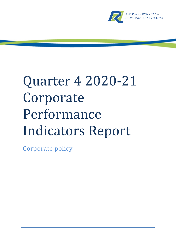

# Quarter 4 2020-21 Corporate Performance Indicators Report

Corporate policy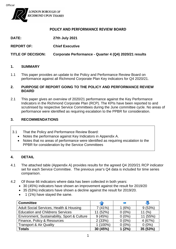

#### **POLICY AND PERFORMANCE REVIEW BOARD**

| <b>DATE:</b> | 27th July 2021 |
|--------------|----------------|
|--------------|----------------|

**REPORT OF: Chief Executive**

**TITLE OF DECISION: Corporate Performance - Quarter 4 (Q4) 2020/21 results**

#### **1. SUMMARY**

1.1 This paper provides an update to the Policy and Performance Review Board on performance against all Richmond Corporate Plan Key indicators for Q4 2020/21.

#### **2. PURPOSE OF REPORT GOING TO THE POLICY AND PERFORMANCE REVIEW BOARD**

2.1 This paper gives an overview of 2020/21 performance against the Key Performance Indicators in the Richmond Corporate Plan (RCP). The KPIs have been reported to and scrutinised by respective Service Committees during the June committee cycle. No areas of performance were identified as requiring escalation to the PPBR for consideration.

#### **3. RECOMMENDATIONS**

- 3.1 That the Policy and Performance Review Board:
	- Notes the performance against Key Indicators in Appendix A.
	- Notes that no areas of performance were identified as requiring escalation to the PPBR for consideration by the Service Committees

#### **4. DETAIL**

- 4.1 The attached table (Appendix A) provides results for the agreed Q4 2020/21 RCP indicator set for each Service Committee. The previous year's Q4 data is included for time series comparison.
- 4.2 Of those 66 indicators where data has been collected in both years:
	- 30 (45%) indicators have shown an improvement against the result for 2019/20
	- 35 (53%) indicators have shown a decline against the result for 2019/20.
	- 1 (1%) have stayed the same.

| <b>Committee</b>                             |            |          |          |
|----------------------------------------------|------------|----------|----------|
| Adult Social Services, Health & Housing      | 7(41%)     | (6%)     | 9(53%)   |
| <b>Education and Childrens Services</b>      | (52%)      | $0(0\%)$ | 11(%)    |
| Environment, Sustainability, Sport & Culture | 9(45%)     | $0(0\%)$ | 11 (55%) |
| Finance, Policy & Resources                  | 2(33%)     | $0(0\%)$ | 4(67%)   |
| <b>Transport &amp; Air Quality</b>           | $1(100\%)$ | $0(0\%)$ | $0(0\%)$ |
| <b>Totals</b>                                | 30 (45%)   | (2%)     | 35 (53%) |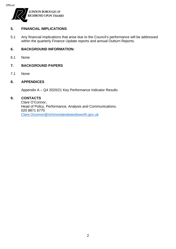

#### **5. FINANCIAL IMPLICATIONS**

5.1 Any financial implications that arise due to the Council's performance will be addressed within the quarterly Finance Update reports and annual Outturn Reports.

#### **6. BACKGROUND INFORMATION:**

6.1 None

#### **7. BACKGROUND PAPERS**

7.1 None

#### **8. APPENDICES**

Appendix A – Q4 2020/21 Key Performance Indicator Results

#### **9. CONTACTS**

Clare O'Connor, Head of Policy, Performance, Analysis and Communications. 020 8871 6770 [Clare.Oconnor@richmondandwandsworth.gov.uk](mailto:Clare.Oconnor@richmondandwandsworth.gov.uk)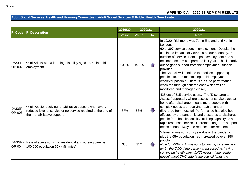#### **Adult Social Services, Health and Housing Committee** - **Adult Social Services & Public Health Directorate**

|                         | <b>PI Description</b>                                                                                                                                    | 2019/20      | 2020/21      |            | 2020/21                                                                                                                                                                                                                                                                                                                                                                                                                                                                                                                                                                                            |
|-------------------------|----------------------------------------------------------------------------------------------------------------------------------------------------------|--------------|--------------|------------|----------------------------------------------------------------------------------------------------------------------------------------------------------------------------------------------------------------------------------------------------------------------------------------------------------------------------------------------------------------------------------------------------------------------------------------------------------------------------------------------------------------------------------------------------------------------------------------------------|
| <b>PI Code</b>          |                                                                                                                                                          | <b>Value</b> | <b>Value</b> | <b>DoT</b> | <b>Note</b>                                                                                                                                                                                                                                                                                                                                                                                                                                                                                                                                                                                        |
| DASSR-<br>OP-002        | % of Adults with a learning disability aged 18-64 in paid<br>employment                                                                                  | 13.5%        | 15.1%        |            | In 19/20, Richmond was 7th in England and 4th in<br>London.<br>60 of 397 service users in employment. Despite the<br>continued impacts of Covid-19 on our economy, the<br>number of service users in paid employment has a<br>net increase of 6 compared to last year. This is partly<br>due to good support from the employment support<br>provider.<br>The Council will continue to prioritise supporting<br>people into, and maintaining, paid employment<br>wherever possible. There is a risk to performance<br>when the furlough scheme ends which will be<br>monitored and managed closely. |
| DASSR-<br>OP-003        | % of People receiving rehabilitative support who have a<br>reduced level of service or no service required at the end of<br>their rehabilitative support | 87%          | 83%          | JL         | 428 out of 515 service users. The "Discharge to<br>Assess" approach, where assessments take place at<br>home after discharge, means more people with<br>complex needs are receiving reablement on<br>discharge from hospital. Performance has also been<br>affected by the pandemic and pressures to discharge<br>people from hospital quickly; utilising capacity as a<br>rapid response service. Therefore, long-term support<br>needs cannot always be reduced after reablement.                                                                                                                |
| DASSR-<br><b>OP-004</b> | Rate of admissions into residential and nursing care per<br>100,000 population 65+ (Minimise)                                                            | 335          | 312          | 1 F        | 5 fewer admissions this year due to the pandemic<br>plus the 65+ population has increased by over 350<br>people.<br>Note for PPRB - Admissions to nursing care are paid<br>for by the CCG if the person is assessed as having<br>continuing health care (CHC) needs. If the resident<br>doesn't meet CHC criteria the council funds the                                                                                                                                                                                                                                                            |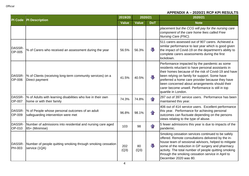|                         | <b>PI Description</b>                                                                     | 2019/20      | 2020/21      |                   | 2020/21                                                                                                                                                                                                                                                                                                                                                                                      |
|-------------------------|-------------------------------------------------------------------------------------------|--------------|--------------|-------------------|----------------------------------------------------------------------------------------------------------------------------------------------------------------------------------------------------------------------------------------------------------------------------------------------------------------------------------------------------------------------------------------------|
| PI Code                 |                                                                                           | <b>Value</b> | <b>Value</b> | <b>DoT</b>        | <b>Note</b>                                                                                                                                                                                                                                                                                                                                                                                  |
|                         |                                                                                           |              |              |                   | placement but the CCG will pay for the nursing care<br>component of the care home fees called Free<br>Nursing Care (FNC).                                                                                                                                                                                                                                                                    |
| DASSR-<br>OP-005        | % of Carers who received an assessment during the year                                    | 56.5%        | 56.3%        | J                 | 511 carers assessed out of 907 carers. Achieved a<br>similar performance to last year which is good given<br>the impact of Covid-19 on the department's ability to<br>complete carers assessments during the first<br>lockdown.                                                                                                                                                              |
| DASSR-<br><b>OP-006</b> | % of Clients (receiving long-term community services) on a<br>Direct payment              | 41.5%        | 40.5%        | JЦ                | Performance impacted by the pandemic as some<br>residents reluctant to have personal assistants in<br>their homes because of the risk of Covid-19 and have<br>been relying on family for support. Some have<br>preferred a home care provider because they have<br>been concerned about arrangements should their<br>carer become unwell. Performance is still in top<br>quartile in London. |
| DASSR-<br><b>OP-007</b> | % of Adults with learning disabilities who live in their own<br>home or with their family | 74.3%        | 74.8%        | $\curvearrowleft$ | 297 out of 397 service users. Performance has been<br>maintained this year.                                                                                                                                                                                                                                                                                                                  |
| DASSR-<br>OP-009        | % of People whose personal outcomes of an adult<br>safeguarding intervention were met     | 96.8%        | 98.1%        |                   | 406 out of 414 service users. Excellent performance<br>this year. Performance for achieving personal<br>outcomes can fluctuate depending on the persons<br>views relating to the type of abuse.                                                                                                                                                                                              |
| DASSR-<br>OP-010        | Number of admissions into residential and nursing care aged<br>65+ (Minimise)             | 103          | 98           | $\mathbf{f}$      | 5 fewer admissions this year is due to impacts of the<br>pandemic.                                                                                                                                                                                                                                                                                                                           |
| DASSR-<br><b>PH-003</b> | Number of people quitting smoking through smoking cessation<br>service (1QA)              | 202<br>(Q3)  | 80<br>(Q3)   | 毋                 | Smoking cessation services continued to be safely<br>offered. Remote consultations delivered by the in-<br>house team of sessional advisors, helped to mitigate<br>some of the reduction in GP surgery and pharmacy<br>activity. The total number of people quitting smoking<br>through the smoking cessation service in April to<br>December 2020 was 80.                                   |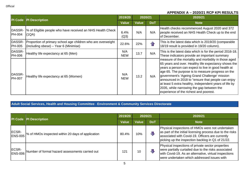| PI Code                 |                                                                                                       | 2019/20           | 2020/21      |                   | 2020/21                                                                                                                                                                                                                                                                                                                                                                                                                                                                          |
|-------------------------|-------------------------------------------------------------------------------------------------------|-------------------|--------------|-------------------|----------------------------------------------------------------------------------------------------------------------------------------------------------------------------------------------------------------------------------------------------------------------------------------------------------------------------------------------------------------------------------------------------------------------------------------------------------------------------------|
|                         | <b>PI Description</b>                                                                                 | <b>Value</b>      | <b>Value</b> | <b>DoT</b>        | <b>Note</b>                                                                                                                                                                                                                                                                                                                                                                                                                                                                      |
| DASSR-<br><b>PH-004</b> | Ⅰ% of Eligible people who have received an NHS Health Check<br>(1QA)                                  | 6.4%<br>(Q3)      | N/A          | N/A               | Health checks recommenced August 2020 and 372<br>people received an NHS Health Check up to the end<br>of December.                                                                                                                                                                                                                                                                                                                                                               |
| DASSR-<br><b>PH-005</b> | Proportion of primary school age children who are overweight<br>(including obese) – Year 6 (Minimise) | 22.6%             | 22%          | $\curvearrowleft$ | This is the latest data which is 2019/20 (comparable<br>18/19 result is provided in 19/20 column).                                                                                                                                                                                                                                                                                                                                                                               |
| DASSR-<br><b>PH-006</b> | Healthy life expectancy at 65 (Men)                                                                   | N/A<br><b>NEW</b> | 13.7         | N/A               | This is the latest data which is for the period 2016-18.<br>These indicators provide an important summary                                                                                                                                                                                                                                                                                                                                                                        |
| DASSR-<br><b>PH-007</b> | Healthy life expectancy at 65 (Women)                                                                 | N/A<br><b>NEW</b> | 13.2         | N/A               | measure of the mortality and morbidity in those aged<br>65 years and over. Healthy life expectancy shows the<br>years a person can expect to live in good health at<br>age 65. The purpose is to measure progress on the<br>government's 'Ageing Grand Challenge' mission<br>announced in 2018 to "ensure that people can enjoy<br>at least 5 extra healthy, independent years of life by<br>2035, while narrowing the gap between the<br>experience of the richest and poorest. |

#### **Adult Social Services, Health and Housing Committee** - **Environment & Community Services Directorate**

| PI Code                 | <b>PI Description</b>                             | 2019/20      | 2020/21      |            | 2020/21                                                                                                                                                                                                                |
|-------------------------|---------------------------------------------------|--------------|--------------|------------|------------------------------------------------------------------------------------------------------------------------------------------------------------------------------------------------------------------------|
|                         |                                                   | <b>Value</b> | <b>Value</b> | <b>DoT</b> | <b>Note</b>                                                                                                                                                                                                            |
| ECSR-<br><b>ENS-005</b> | % of HMOs inspected within 20 days of application | 80.4%        | 10%          | $\Box$     | Physical inspections of HMOs were not undertaken<br>as part of the initial licensing process due to the risks<br>associated with Covid-19. Officers are currently<br>picking up the inspection backlog in Q1 of 21/22. |
| ECSR-<br><b>ENS-006</b> | Number of formal hazard assessments carried out   | 121          | 10           | J          | Physical inspections of private sector properties<br>were partially curtailed due to the risks associated<br>with Covid-19. As an alternative, virtual inspections<br>were undertaken which addressed issues with      |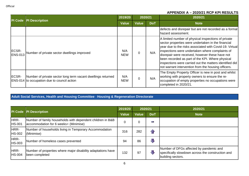|                         |                                                                                                             | 2019/20           | 2020/21      |            | 2020/21                                                                                                                                                                                                                                                                                                                                                                                                                                             |
|-------------------------|-------------------------------------------------------------------------------------------------------------|-------------------|--------------|------------|-----------------------------------------------------------------------------------------------------------------------------------------------------------------------------------------------------------------------------------------------------------------------------------------------------------------------------------------------------------------------------------------------------------------------------------------------------|
| PI Code                 | <b>PI Description</b>                                                                                       | <b>Value</b>      | <b>Value</b> | <b>DoT</b> | <b>Note</b>                                                                                                                                                                                                                                                                                                                                                                                                                                         |
|                         |                                                                                                             |                   |              |            | defects and disrepair but are not recorded as a formal<br>hazard assessment.                                                                                                                                                                                                                                                                                                                                                                        |
| ECSR-<br><b>ENS-013</b> | Number of private sector dwellings improved                                                                 | N/A<br><b>NEW</b> | 0            | N/A        | A limited number of physical inspections of private<br>sector properties were undertaken in the financial<br>year due to the risks associated with Covid-19. Virtual<br>inspections were undertaken where complaints of<br>disrepair were received, however these have not<br>been recorded as part of the KPI. Where physical<br> inspections were carried out the matters identified did  <br>not warrant intervention from the housing officers. |
| ECSR-                   | Number of private sector long term vacant dwellings returned<br>ENS-014 to occupation due to council action | N/A<br><b>NEW</b> | $\mathbf 0$  | N/A        | The Empty Property Officer is new in post and whilst<br>working with property owners to ensure the re-<br>occupation of empty properties no occupations were<br>completed in 2020/21.                                                                                                                                                                                                                                                               |

# **Adult Social Services, Health and Housing Committee** - **Housing & Regeneration Directorate**

| <b>PI</b> Code        | PI Description                                                                                      | 2019/20        | 2020/21      |            | 2020/21                                                                                                           |
|-----------------------|-----------------------------------------------------------------------------------------------------|----------------|--------------|------------|-------------------------------------------------------------------------------------------------------------------|
|                       |                                                                                                     | <b>Value</b>   | <b>Value</b> | <b>DoT</b> | <b>Note</b>                                                                                                       |
| HRR-<br><b>HS-001</b> | Number of family households with dependent children in B&B<br>accommodation for 6 weeks+ (Minimise) | $\overline{0}$ | 0            | P.         |                                                                                                                   |
| HRR-<br><b>HS-002</b> | Number of households living in Temporary Accommodation<br>(Minimise)                                | 316            | 282          | 4.         |                                                                                                                   |
| HRR-<br><b>HS-003</b> | Number of homeless cases prevented                                                                  | 94             | 86           | ₹          |                                                                                                                   |
| HRR-<br><b>HS-004</b> | Number of properties where major disability adaptations have<br>been completed                      | 132            | 97           | ₩          | Number of DFGs affected by pandemic and<br>specifically slowdown across the construction and<br>building sectors. |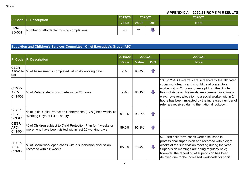|                       | PI Code PI Description                   | 2019/20      | 2020/21         |            | 2020/21     |
|-----------------------|------------------------------------------|--------------|-----------------|------------|-------------|
|                       |                                          | <b>Value</b> | <b>Value</b>    | <b>DoT</b> | <b>Note</b> |
| HRR-<br><b>SD-001</b> | Number of affordable housing completions | 43           | $\overline{21}$ |            |             |

# **Education and Children's Services Committee** - **Chief Executive's Group (AfC)**

|                                 | <b>PI Description</b>                                                                                                    | 2019/20      | 2020/21      |                         | 2020/21                                                                                                                                                                                                                                                                                                                                                                                |
|---------------------------------|--------------------------------------------------------------------------------------------------------------------------|--------------|--------------|-------------------------|----------------------------------------------------------------------------------------------------------------------------------------------------------------------------------------------------------------------------------------------------------------------------------------------------------------------------------------------------------------------------------------|
| PI Code                         |                                                                                                                          | <b>Value</b> | <b>Value</b> | <b>DoT</b>              | <b>Note</b>                                                                                                                                                                                                                                                                                                                                                                            |
| CEGR-<br>001                    | AFC-CIN-  % of Assessments completed within 45 working days                                                              | 95%          | 95.4%        | $\bigcap$               |                                                                                                                                                                                                                                                                                                                                                                                        |
| CEGR-<br>AFC-<br><b>CIN-002</b> | % of Referral decisions made within 24 hours                                                                             | 97%          | 86.1%        | $\overline{\mathbf{u}}$ | 1080/1254 All referrals are screened by the allocated<br>social work teams and should be allocated to a<br>worker within 24 hours of receipt from the Single<br>Point of Access. Referrals are screened in a timely<br>way; however, allocation to a social worker within 24<br>hours has been impacted by the increased number of<br>referrals received during the national lockdown. |
| CEGR-<br>AFC-<br><b>CIN-003</b> | % of Initial Child Protection Conferences (ICPC) held within 15<br><b>Working Days of S47 Enquiry</b>                    | 91.3%        | 98.0%        | $\bigcap$               |                                                                                                                                                                                                                                                                                                                                                                                        |
| CEGR-<br>AFC-<br><b>CIN-004</b> | % of Children subject to Child Protection Plan for 4 weeks or<br>more, who have been visited within last 20 working days | 89.0%        | 95.2%        | $\bigcap$               |                                                                                                                                                                                                                                                                                                                                                                                        |
| CEGR-<br>AFC-<br><b>CIN-006</b> | % of Social work open cases with a supervision discussion<br>recorded within 8 weeks                                     | 85.0%        | 73.4%        | 具                       | 578/788 children's cases were discussed in<br>professional supervision and recorded within eight<br>weeks of the supervision meeting during the year.<br>Supervision meetings are being regularly held;<br>however, the recording of supervision has been<br>delayed due to the increased workloads for social                                                                         |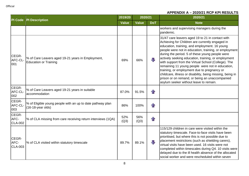| <b>PI Code</b>                  |                                                                                    | 2019/20      | 2020/21      |                | 2020/21                                                                                                                                                                                                                                                                                                                                                                                                                                                                                                                                                                                                                                    |
|---------------------------------|------------------------------------------------------------------------------------|--------------|--------------|----------------|--------------------------------------------------------------------------------------------------------------------------------------------------------------------------------------------------------------------------------------------------------------------------------------------------------------------------------------------------------------------------------------------------------------------------------------------------------------------------------------------------------------------------------------------------------------------------------------------------------------------------------------------|
|                                 | <b>PI Description</b>                                                              | <b>Value</b> | <b>Value</b> | <b>DoT</b>     | <b>Note</b>                                                                                                                                                                                                                                                                                                                                                                                                                                                                                                                                                                                                                                |
|                                 |                                                                                    |              |              |                | workers and supervising managers during the<br>pandemic.                                                                                                                                                                                                                                                                                                                                                                                                                                                                                                                                                                                   |
| CEGR-<br>AFC-CL-<br>001         | % of Care Leavers aged 19-21 years in Employment,<br><b>Education or Training</b>  | 69%          | 66%          | $\blacksquare$ | 31/47 care leavers aged 19 to 21 in contact with<br>Achieving for Children are currently engaged in<br>education, training, and employment. 16 young<br>people were not in education, training, or employment<br>during the period. 5 of these young people were<br>actively seeking education, training, or employment<br>with support from the Virtual School (College). The<br>remaining 11 young people were not in education,<br>training, or employment due to pregnancy or<br>childcare, illness or disability, being missing, being in<br>prison or on remand, or being an unaccompanied<br>asylum seeker without leave to remain. |
| CEGR-<br>AFC-CL-<br>002         | % of Care Leavers aged 19-21 years in suitable<br>accommodation                    | 87.0%        | 91.5%        | $\mathbf{f}$   |                                                                                                                                                                                                                                                                                                                                                                                                                                                                                                                                                                                                                                            |
| CEGR-<br>AFC-CL-<br>003         | % of Eligible young people with an up to date pathway plan<br>$(16-18$ -year olds) | 86%          | 100%         | $\bigcap$      |                                                                                                                                                                                                                                                                                                                                                                                                                                                                                                                                                                                                                                            |
| CEGR-<br>AFC-<br><b>CLA-002</b> | % of CLA missing from care receiving return interviews (1QA)                       | 52%<br>(Q3)  | 56%<br>(Q3)  | $\bigcap$      |                                                                                                                                                                                                                                                                                                                                                                                                                                                                                                                                                                                                                                            |
| CEGR-<br>AFC-<br><b>CLA-003</b> | % of CLA visited within statutory timescale                                        | 89.7%        | 89.1%        | $\sqrt{1}$     | 115/129 children in care were visited within the<br>statutory timescale. Face-to-face visits have been<br>prioritised, but where this is not possible due to<br>placement restrictions (such as shielding carers),<br>virtual visits have been used. 16 visits were not<br>completed within timescales during Q4. 10 visits were<br>delayed due to the ill health absence of the allocated<br>social worker and were rescheduled within seven                                                                                                                                                                                              |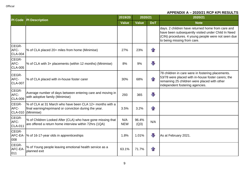|                                 | <b>PI Description</b>                                                                                                            | 2019/20           | 2020/21       |                   | 2020/21                                                                                                                                                                                      |
|---------------------------------|----------------------------------------------------------------------------------------------------------------------------------|-------------------|---------------|-------------------|----------------------------------------------------------------------------------------------------------------------------------------------------------------------------------------------|
| <b>PI Code</b>                  |                                                                                                                                  | <b>Value</b>      | <b>Value</b>  | <b>DoT</b>        | <b>Note</b>                                                                                                                                                                                  |
|                                 |                                                                                                                                  |                   |               |                   | days. 2 children have returned home from care and<br>have been subsequently visited under Child In Need<br>(CIN) procedures. 4 young people were not seen due<br>to being missing from care. |
| CEGR-<br>AFC-<br><b>CLA-004</b> | % of CLA placed 20+ miles from home (Minimise)                                                                                   | 27%               | 23%           | $\left\{ \right.$ |                                                                                                                                                                                              |
| CEGR-<br>AFC-<br><b>CLA-005</b> | % of CLA with 3+ placements (within 12 months) (Minimise)                                                                        | 8%                | 9%            | $\bf{J}$          |                                                                                                                                                                                              |
| CEGR-<br>AFC-<br><b>CLA-007</b> | % of CLA placed with in-house foster carer                                                                                       | 30%               | 68%           | $\bigcap$         | 78 children in care were in fostering placements.<br>53/78 were placed with in-house foster carers; the<br>remaining 25 children were placed with other<br>independent fostering agencies.   |
| CEGR-<br>AFC-<br><b>CLA-009</b> | Average number of days between entering care and moving in<br>with adoptive family (Minimise)                                    | 293               | 365           | J                 |                                                                                                                                                                                              |
| CEGR-<br>AFC-<br><b>CLA-010</b> | % of CLA at 31 March who have been CLA 12+ months with a<br>final warning/reprimand or conviction during the year.<br>(Minimise) | 3.5%              | 3.2%          | 1F                |                                                                                                                                                                                              |
| CEGR-<br>AFC-<br><b>CLA-011</b> | % of Children Looked After (CLA) who have gone missing that<br>are offered a return home interview within 72hrs (1QA)            | N/A<br><b>NEW</b> | 96.4%<br>(Q3) | N/A               |                                                                                                                                                                                              |
| CEGR-<br>AFC-EA-<br>008         | % of 16-17-year olds in apprenticeships                                                                                          | 1.8%              | 1.01%         | $\sqrt{2}$        | As at February 2021.                                                                                                                                                                         |
| CEGR-<br>AFC-EA<br>011          | % of Young people leaving emotional health service as a<br>planned exit                                                          | 63.1%             | 71.7%         |                   |                                                                                                                                                                                              |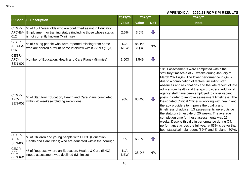|                                 |                                                                                                                                                                   | 2019/20           | 2020/21       |                | 2020/21                                                                                                                                                                                                                                                                                                                                                                                                                                                                                                                                                                                                                                                                                                                                                                                                                                                                        |
|---------------------------------|-------------------------------------------------------------------------------------------------------------------------------------------------------------------|-------------------|---------------|----------------|--------------------------------------------------------------------------------------------------------------------------------------------------------------------------------------------------------------------------------------------------------------------------------------------------------------------------------------------------------------------------------------------------------------------------------------------------------------------------------------------------------------------------------------------------------------------------------------------------------------------------------------------------------------------------------------------------------------------------------------------------------------------------------------------------------------------------------------------------------------------------------|
| <b>PI</b> Code                  | <b>PI Description</b>                                                                                                                                             | <b>Value</b>      | <b>Value</b>  | <b>DoT</b>     | <b>Note</b>                                                                                                                                                                                                                                                                                                                                                                                                                                                                                                                                                                                                                                                                                                                                                                                                                                                                    |
| CEGR-<br>AFC-EA-<br>012         | % of 16-17-year olds who are confirmed as not in Education,<br>Employment, or training status (including those whose status<br>is not currently known) (Minimise) | 2.5%              | 3.0%          | $\blacksquare$ |                                                                                                                                                                                                                                                                                                                                                                                                                                                                                                                                                                                                                                                                                                                                                                                                                                                                                |
| CEGR-<br>AFC-EA-<br>016         | % of Young people who were reported missing from home<br>who are offered a return home interview within 72 hrs (1QA)                                              | N/A<br><b>NEW</b> | 86.1%<br>(Q3) | N/A            |                                                                                                                                                                                                                                                                                                                                                                                                                                                                                                                                                                                                                                                                                                                                                                                                                                                                                |
| CEGR-<br>AFC-<br><b>SEN-001</b> | Number of Education, Health and Care Plans (Minimise)                                                                                                             | 1,503             | 1,549         | $\sqrt{2}$     |                                                                                                                                                                                                                                                                                                                                                                                                                                                                                                                                                                                                                                                                                                                                                                                                                                                                                |
| CEGR-<br>AFC-<br><b>SEN-002</b> | % of Statutory Education, Health and Care Plans completed<br>within 20 weeks (excluding exceptions)                                                               | 96%               | 83.4%         | 几              | 18/31 assessments were completed within the<br>statutory timescale of 20 weeks during January to<br>March 2021 (Q4). The lower performance in Q4 is<br>due to a combination of factors, including staff<br>absences and resignations and the late receipt of late<br>advice from health and therapy providers. Additional<br>agency staff have been employed to cover vacant<br>posts in order to improve assessment timeliness. The<br>Designated Clinical Officer is working with health and<br>therapy providers to improve the quality and<br>timeliness of advice. 13 assessments were outside<br>the statutory timescale of 20 weeks. The average<br>completion time for these assessments was 25<br>weeks. Despite this dip in performance during Q4,<br>performance across the full year at 83% is better than<br>both statistical neighbours (62%) and England (60%). |
| CEGR-<br>AFC-<br><b>SEN-003</b> | % of Children and young people with EHCP (Education,<br>Health and Care Plans) who are educated within the borough                                                | 65%               | 66.6%         | $\bigcap$      |                                                                                                                                                                                                                                                                                                                                                                                                                                                                                                                                                                                                                                                                                                                                                                                                                                                                                |
| CEGR-<br>AFC-<br><b>SEN-004</b> | % of Requests where an Education, Health, & Care (EHC)<br>needs assessment was declined (Minimise)                                                                | N/A<br><b>NEW</b> | 38.9%         | N/A            |                                                                                                                                                                                                                                                                                                                                                                                                                                                                                                                                                                                                                                                                                                                                                                                                                                                                                |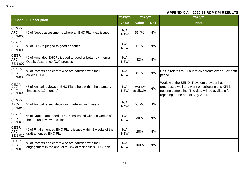|                                 |                                                                                                                   | 2019/20           | 2020/21               |            | 2020/21                                                                                                                                                                                    |
|---------------------------------|-------------------------------------------------------------------------------------------------------------------|-------------------|-----------------------|------------|--------------------------------------------------------------------------------------------------------------------------------------------------------------------------------------------|
| <b>PI Code</b>                  | <b>PI Description</b>                                                                                             | <b>Value</b>      | <b>Value</b>          | <b>DoT</b> | <b>Note</b>                                                                                                                                                                                |
| CEGR-<br>AFC-<br><b>SEN-005</b> | % of Needs assessments where an EHC Plan was issued                                                               | N/A<br><b>NEW</b> | 57.4%                 | N/A        |                                                                                                                                                                                            |
| CEGR-<br>AFC-<br><b>SEN-006</b> | % of EHCPs judged to good or better                                                                               | N/A<br><b>NEW</b> | 61%                   | N/A        |                                                                                                                                                                                            |
| CEGR-<br>AFC-<br><b>SEN-007</b> | % of Amended EHCPs judged to good or better by internal<br>Quality Assurance (QA) process                         | N/A<br><b>NEW</b> | 82%                   | N/A        |                                                                                                                                                                                            |
| CEGR-<br>AFC-<br><b>SEN-008</b> | % of Parents and carers who are satisfied with their<br>child's EHCP                                              | N/A<br><b>NEW</b> | 81%                   | N/A        | Result relates to 21 out of 26 parents over a 12month<br>period.                                                                                                                           |
| CEGR-<br>AFC-<br><b>SEN-009</b> | % of Annual reviews of EHC Plans held within the statutory<br>timescale (12 months)                               | N/A<br><b>NEW</b> | Data not<br>available | N/A        | Work with the SEND IT system provider has<br>progressed well and work on collecting this KPI is<br>nearing completing. The data will be available for<br>reporting at the end of May 2021. |
| CEGR-<br>AFC-<br><b>SEN-010</b> | % of Annual review decisions made within 4 weeks                                                                  | N/A<br><b>NEW</b> | 58.2%                 | N/A        |                                                                                                                                                                                            |
| CEGR-<br>AFC-<br><b>SEN-011</b> | % of Drafted amended EHC Plans issued within 8 weeks of<br>the annual review decision                             | N/A<br><b>NEW</b> | 39%                   | N/A        |                                                                                                                                                                                            |
| CEGR-<br>AFC-<br><b>SEN-012</b> | % of Final amended EHC Plans issued within 8 weeks of the<br>draft amended EHC Plan                               | N/A<br><b>NEW</b> | 28%                   | N/A        |                                                                                                                                                                                            |
| CEGR-<br>AFC-<br><b>SEN-013</b> | % of Parents and carers who are satisfied with their<br>engagement in the annual review of their child's EHC Plan | N/A<br><b>NEW</b> | 100%                  | N/A        |                                                                                                                                                                                            |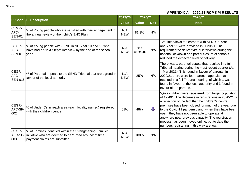|                                 | <b>PI Description</b>                                                                                                                                  | 2019/20           | 2020/21        |            | 2020/21                                                                                                                                                                                                                                                                                                                                                                                                                                                                             |
|---------------------------------|--------------------------------------------------------------------------------------------------------------------------------------------------------|-------------------|----------------|------------|-------------------------------------------------------------------------------------------------------------------------------------------------------------------------------------------------------------------------------------------------------------------------------------------------------------------------------------------------------------------------------------------------------------------------------------------------------------------------------------|
| PI Code                         |                                                                                                                                                        | <b>Value</b>      | <b>Value</b>   | <b>DoT</b> | <b>Note</b>                                                                                                                                                                                                                                                                                                                                                                                                                                                                         |
| CEGR-<br>AFC-<br><b>SEN-014</b> | % of Young people who are satisfied with their engagement in<br>the annual review of their child's EHC Plan                                            | N/A<br><b>NEW</b> | 81.3%          | N/A        |                                                                                                                                                                                                                                                                                                                                                                                                                                                                                     |
| CEGR-<br>AFC-<br>SEN-015 year   | % of Young people with SEND in NC Year 10 and 11 who<br>have had a "Next Steps" interview by the end of the school                                     | N/A<br><b>NEW</b> | See<br>comment | N/A        | 126 interviews for learners with SEND in Year 10<br>and Year 11 were provided in 2020/21. The<br>requirement to deliver virtual interviews during the<br>national lockdown and partial closure of schools<br>reduced the expected level of delivery.                                                                                                                                                                                                                                |
| CEGR-<br>AFC-<br><b>SEN-016</b> | % of Parental appeals to the SEND Tribunal that are agreed in<br>favour of the local authority                                                         | N/A<br><b>NEW</b> | 25%            | N/A        | There was 1 parental appeal that resulted in a full<br>Tribunal hearing during the most recent quarter (Jan<br>- Mar 2021). This found in favour of parents. In<br>2020/21 there were four parental appeals that<br>resulted in a full Tribunal hearing, of which 1 was<br>found in favour of the local authority and 3 found in<br>favour of the parents.                                                                                                                          |
| CEGR-<br>AFC-SF-<br>002         | % of Under 5's in reach area (each locality named) registered<br>with their children centre                                                            | 61%               | 48%            | 业          | 5,929 children were registered from target population<br>of 12,401. The decrease in registrations in 2020-21 is<br>a reflection of the fact that the children's centre<br>premises have been closed for much of the year due<br>to the Covid-19 pandemic and, when they have been<br>open, they have not been able to operate at<br>anywhere near previous capacity. The registration<br>process has been moved online, but to date the<br>numbers registering in this way are low. |
| CEGR-<br>AFC-SF-<br>003         | % of Families identified within the Strengthening Families<br>linitiative who are deemed to be 'turned around' at time<br>payment claims are submitted | N/A<br><b>NEW</b> | 100%           | N/A        |                                                                                                                                                                                                                                                                                                                                                                                                                                                                                     |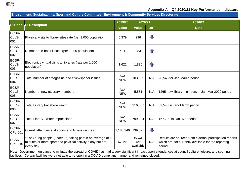

#### **Environment, Sustainability, Sport and Culture Committee** - **Environment & Community Services Directorate**

|                                                                                                                                                                                                                                                                    |                                                                                                                                        | 2019/20           | 2020/21                           |                         | 2020/21                                                                                                                   |  |
|--------------------------------------------------------------------------------------------------------------------------------------------------------------------------------------------------------------------------------------------------------------------|----------------------------------------------------------------------------------------------------------------------------------------|-------------------|-----------------------------------|-------------------------|---------------------------------------------------------------------------------------------------------------------------|--|
| PI Code                                                                                                                                                                                                                                                            | <b>PI Description</b>                                                                                                                  | <b>Value</b>      | <b>Value</b>                      | <b>DoT</b>              | <b>Note</b>                                                                                                               |  |
| ECSR-<br>CLLS-<br>001                                                                                                                                                                                                                                              | Physical visits to library sites rate (per 1,000 population)                                                                           | 5,379             | 296                               | $\overline{\mathbf{U}}$ |                                                                                                                           |  |
| ECSR-<br>CLLS-<br>002                                                                                                                                                                                                                                              | Number of e-book issues (per 1,000 population)                                                                                         | 421               | 483                               | $\mathbf{r}$            |                                                                                                                           |  |
| <b>ECSR-</b><br>CLLS-<br>003                                                                                                                                                                                                                                       | Electronic / virtual visits to libraries (rate per 1,000<br>population)                                                                | 1,622             | 1,830                             | $\mathbf{f}$            |                                                                                                                           |  |
| ECSR-<br>CLLS-<br>004                                                                                                                                                                                                                                              | Total number of eMagazine and eNewspaper issues                                                                                        | N/A<br><b>NEW</b> | 103,585                           | N/A                     | 28,546 for Jan-March period.                                                                                              |  |
| <b>ECSR-</b><br>CLLS-<br>005                                                                                                                                                                                                                                       | Number of new eLibrary members                                                                                                         | N/A<br><b>NEW</b> | 5,551                             | N/A                     | 1265 new library members in Jan-Mar 2020 period.                                                                          |  |
| ECSR-<br>CLLS-<br>006                                                                                                                                                                                                                                              | <b>Total Library Facebook reach</b>                                                                                                    | N/A<br><b>NEW</b> | 216,307                           | N/A                     | 32,548 in Jan- March period                                                                                               |  |
| <b>ECSR-</b><br>CLLS-<br>007                                                                                                                                                                                                                                       | <b>Total Library Twitter impressions</b>                                                                                               | N/A<br><b>NEW</b> | 799,224                           | N/A                     | 167,709 in Jan- Mar period.                                                                                               |  |
| ECSR-<br><b>CPL-001</b>                                                                                                                                                                                                                                            | Overall attendance at sports and fitness centres                                                                                       | 1,180,346         | 139,627                           | $\overline{\mathbb{J}}$ |                                                                                                                           |  |
| <b>ECSR-</b><br>CPL-010                                                                                                                                                                                                                                            | % of Young people (under 16) taking part in an average of 60<br>minutes or more sport and physical activity a day but not<br>every day | 67.7%             | <b>Result</b><br>not<br>available | N/A                     | Results are sourced from external participation reports<br>which are not currently available for the reporting<br>period. |  |
| Note: Government guidance to mitigate the spread of COVID has had a very significant impact upon attendances at council culture, leisure, and sporting<br>facilities. Certain facilities were not able to re-open in a COVID compliant manner and remained closed. |                                                                                                                                        |                   |                                   |                         |                                                                                                                           |  |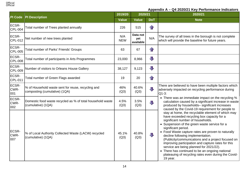

| PI Code                 | <b>PI Description</b>                                                               | 2019/20           | 2020/21                      |                         | 2020/21                                                                                                                                                                                                                                                                                                                                                                                                                                                                                                                                                                                                                                   |
|-------------------------|-------------------------------------------------------------------------------------|-------------------|------------------------------|-------------------------|-------------------------------------------------------------------------------------------------------------------------------------------------------------------------------------------------------------------------------------------------------------------------------------------------------------------------------------------------------------------------------------------------------------------------------------------------------------------------------------------------------------------------------------------------------------------------------------------------------------------------------------------|
|                         |                                                                                     | <b>Value</b>      | <b>Value</b>                 | <b>DoT</b>              | <b>Note</b>                                                                                                                                                                                                                                                                                                                                                                                                                                                                                                                                                                                                                               |
| ECSR-<br>CPL-004        | Total number of Trees planted annually                                              | 226               | 515                          | $\mathbf{r}$            |                                                                                                                                                                                                                                                                                                                                                                                                                                                                                                                                                                                                                                           |
| ECSR-<br>CPL-012        | Net number of new trees planted                                                     | N/A<br><b>NEW</b> | Data not<br>yet<br>available | N/A                     | The survey of all trees in the borough is not complete<br>which will provide the baseline for future years.                                                                                                                                                                                                                                                                                                                                                                                                                                                                                                                               |
| ECSR-<br>CPL-005        | Total number of Parks' Friends' Groups                                              | 63                | 67                           | $\mathbf{r}$            |                                                                                                                                                                                                                                                                                                                                                                                                                                                                                                                                                                                                                                           |
| ECSR-<br><b>CPL-008</b> | Total number of participants in Arts Programmes                                     | 23,000            | 8,966                        | $\overline{\mathbb{L}}$ |                                                                                                                                                                                                                                                                                                                                                                                                                                                                                                                                                                                                                                           |
| ECSR-<br>CPL-009        | Number of visitors to Orleans House Gallery                                         | 38,127            | 9,123                        | $\overline{\mathbf{L}}$ |                                                                                                                                                                                                                                                                                                                                                                                                                                                                                                                                                                                                                                           |
| ECSR-<br>CPL-011        | Total number of Green Flags awarded                                                 | 19                | 20                           | $\mathbf{r}$            |                                                                                                                                                                                                                                                                                                                                                                                                                                                                                                                                                                                                                                           |
| ECSR-<br>CWR-<br>001    | % of Household waste sent for reuse, recycling and<br>composting (cumulative) (1QA) | 46%<br>(Q3)       | 40.6%<br>(Q3)                | J                       | There are believed to have been multiple factors which<br>adversely impacted on recycling performance during<br>$Q1-3:$                                                                                                                                                                                                                                                                                                                                                                                                                                                                                                                   |
| ECSR-<br>CWR-<br>002    | Domestic food waste recycled as % of total household waste<br>(cumulative) (1QA)    | 4.5%<br>(Q3)      | 3.5%<br>(Q3)                 | J,                      | • There was an immediate impact on the recycling %<br>calculation caused by a significant increase in waste<br>produced by households- significant increases                                                                                                                                                                                                                                                                                                                                                                                                                                                                              |
| ECSR-<br>CWR-<br>007    | % of Local Authority Collected Waste (LACW) recycled<br>(cumulative) (1QA)          | 45.1%<br>(Q3)     | 40.8%<br>(Q3)                | $\Box$                  | caused by the Covid-19 requirement for people to<br>stay at home, the recyclable element of which may<br>have exceeded recycling box capacity for a<br>significant number of households.<br>• Suspension of the green waste service for a<br>significant period.<br>• Food Waste capture rates are proven to naturally<br>decline following implementation.<br>(Publicity/communications and a project focused on<br>improving participation and capture rates for this<br>service are being planned for 2021/22).<br>• There has continued to be an ongoing national<br>plateauing of recycling rates even during the Covid-<br>19 year. |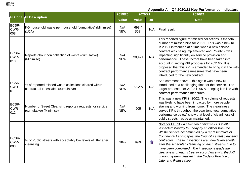

| <b>PI Code</b>              | <b>PI Description</b>                                                                        | 2019/20           | 2020/21       |            | 2020/21                                                                                                                                                                                                                                                                                                                                                                                                                                                                                                                                |
|-----------------------------|----------------------------------------------------------------------------------------------|-------------------|---------------|------------|----------------------------------------------------------------------------------------------------------------------------------------------------------------------------------------------------------------------------------------------------------------------------------------------------------------------------------------------------------------------------------------------------------------------------------------------------------------------------------------------------------------------------------------|
|                             |                                                                                              | <b>Value</b>      | <b>Value</b>  | <b>DoT</b> | <b>Note</b>                                                                                                                                                                                                                                                                                                                                                                                                                                                                                                                            |
| ECSR-<br>CWR-<br>008        | KG household waste per household (cumulative) (Minimise)<br>(1QA)                            | N/A<br><b>NEW</b> | 698.4<br>(Q3) | N/A        | Final result.                                                                                                                                                                                                                                                                                                                                                                                                                                                                                                                          |
| <b>ECSR-</b><br>CWR-<br>010 | Reports about non collection of waste (cumulative)<br>(Minimise)                             | N/A<br><b>NEW</b> | 30,471        | N/A        | This reported figure for missed collections is the total<br>number of missed bins for 20/21. This was a new KPI<br>in 20/21 introduced at a time when a new service<br>contract was being implemented and Covid-19 was<br>impacting significantly on service provision and<br>performance. These factors have been taken into<br>account in setting KPI proposals for 2021/22. It is<br>proposed that this KPI is amended to bring it in line with<br>contract performance measures that have been<br>introduced for the new contract. |
| ECSR-<br>CWR-<br>011        | % of reported missed waste collections cleared within<br>contractual timescales (cumulative) | N/A<br><b>NEW</b> | 48.2%         | N/A        | See comment above - this again was a new KPI<br>introduced at a challenging time for the service. The<br>target proposed for 21/22 is 95%, bringing it in line with<br>contract performance measures.                                                                                                                                                                                                                                                                                                                                  |
| ECSR-<br>CWR-<br>012        | Number of Street Cleansing reports / requests for service<br>(cumulative) (Minimise)         | N/A<br><b>NEW</b> | 905           | N/A        | This was a new KPI in 20/21. The volume of requests<br>was likely to have been impacted by more people<br>staying and working from home. The cleanliness<br>survey KPIs throughout the year (end year cumulative<br>performance below) show that level of cleanliness of<br>public streets has been maintained.                                                                                                                                                                                                                        |
| <b>ECSR-</b><br>CWR-<br>003 | % of Public streets with acceptably low levels of litter after<br>cleansing                  | 98%               | 99%           | $\bigcap$  | Note for PPRB - A selection of highways is jointly<br>inspected Monday to Friday by an officer from the<br>Waste Service accompanied by a representative of<br>Continental Landscapes, the Council's street cleansing<br>contractor. These inspections are undertaken shortly<br>after the scheduled cleansing on each street is due to<br>have been completed. The inspections grade the<br>cleanliness of each street in accordance with the A-D<br>grading system detailed in the Code of Practice on<br>Litter and Refuse (see:    |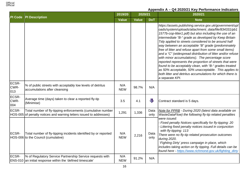| <b>PI Code</b>              | <b>PI Description</b>                                                                                                              | 2019/20           | 2020/21      |                         | 2020/21                                                                                                                                                                                                                                                                                                                                                                                                                                                                                                                                                                                                                                                                                                                                                                                 |  |
|-----------------------------|------------------------------------------------------------------------------------------------------------------------------------|-------------------|--------------|-------------------------|-----------------------------------------------------------------------------------------------------------------------------------------------------------------------------------------------------------------------------------------------------------------------------------------------------------------------------------------------------------------------------------------------------------------------------------------------------------------------------------------------------------------------------------------------------------------------------------------------------------------------------------------------------------------------------------------------------------------------------------------------------------------------------------------|--|
|                             |                                                                                                                                    | <b>Value</b>      | <b>Value</b> | <b>DoT</b>              | <b>Note</b>                                                                                                                                                                                                                                                                                                                                                                                                                                                                                                                                                                                                                                                                                                                                                                             |  |
|                             |                                                                                                                                    |                   |              |                         | https://assets.publishing.service.gov.uk/government/upl<br>oads/system/uploads/attachment_data/file/834331/pb1<br>1577b-cop-litter1.pdf) but also including the use of an<br>intermediate "B-" grade as developed by Keep Britain<br>Tidy applied to streets considered to be around half<br>way between an acceptable "B" grade (predominately<br>free of litter and refuse apart from some small items)<br>and a "C" (widespread distribution of litter and/or refuse<br>with minor accumulations). The percentage score<br>reported represents the proportion of streets that were<br>found to be acceptably clean, with "B-" grades treated<br>as 50% acceptable, 50% unacceptable. This applies to<br>both litter and detritus accumulations for which there is<br>a separate KPI. |  |
| <b>ECSR-</b><br>CWR-<br>013 | % of public streets with acceptably low levels of detritus<br>accumulations after cleansing                                        | N/A<br><b>NEW</b> | 98.7%        | N/A                     |                                                                                                                                                                                                                                                                                                                                                                                                                                                                                                                                                                                                                                                                                                                                                                                         |  |
| <b>ECSR-</b><br>CWR-<br>004 | Average time (days) taken to clear a reported fly-tip<br>(Minimise)                                                                | 3.5               | 4.1          | $\overline{\mathbb{U}}$ | Contract standard is 5 days.                                                                                                                                                                                                                                                                                                                                                                                                                                                                                                                                                                                                                                                                                                                                                            |  |
| ECSR-                       | Total number of fly-tipping enforcements (cumulative number<br>HOS-005 of penalty notices and warning letters issued to addresses) | 1,291             | 1,336        | Data<br>only            | Note for PPRB - During 2020 (latest data available on<br>WasteDataFlow) the following fly-tip related penalties                                                                                                                                                                                                                                                                                                                                                                                                                                                                                                                                                                                                                                                                         |  |
| ECSR-                       | Total number of fly-tipping incidents identified by or reported<br>HOS-006 to the Council (cumulative)                             | N/A<br><b>NEW</b> | 2,216        | Data<br>only            | were issued:<br>Fixed penalty Notices specifically for fly-tipping: 20<br>Littering fixed penalty notices issued in conjunction<br>with fly-tipping: 113<br>There were no fly-tip related prosecution outcomes<br>during 2020.<br>'Fighting Dirty' press campaign in place, which<br>includes taking action on fly tipping. Full details can be<br>found here - https://www.richmond.gov.uk/fighting_dirty                                                                                                                                                                                                                                                                                                                                                                              |  |
| <b>ECSR-</b>                | % of Regulatory Service Partnership Service requests with<br>ENS-010 an initial response within the 'defined timescale'            | N/A<br><b>NEW</b> | 91.2%        | N/A                     |                                                                                                                                                                                                                                                                                                                                                                                                                                                                                                                                                                                                                                                                                                                                                                                         |  |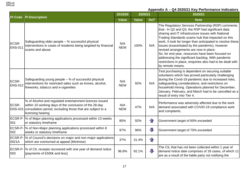| <b>PI Code</b>          | <b>PI</b> Description                                                                                                                                                                                         | 2019/20           | 2020/21      |              | 2020/21                                                                                                                                                                                                                                                                                                                                                                                                                                                                                                                                                                |
|-------------------------|---------------------------------------------------------------------------------------------------------------------------------------------------------------------------------------------------------------|-------------------|--------------|--------------|------------------------------------------------------------------------------------------------------------------------------------------------------------------------------------------------------------------------------------------------------------------------------------------------------------------------------------------------------------------------------------------------------------------------------------------------------------------------------------------------------------------------------------------------------------------------|
|                         |                                                                                                                                                                                                               | <b>Value</b>      | <b>Value</b> | <b>DoT</b>   | <b>Note</b>                                                                                                                                                                                                                                                                                                                                                                                                                                                                                                                                                            |
| ECSR-<br><b>ENS-011</b> | Safeguarding older people - % successful physical<br>interventions in cases of residents being targeted by financial<br>scams and abuse                                                                       | N/A<br><b>NEW</b> | 100%         | N/A          | The Regulatory Services Partnership (RSP) comments<br>that:- In Q2 and Q3, the RSP had significant data<br>sharing and IT infrastructure issues with National<br>Trading Standards scams hub that impacted on this<br>work. It took far longer than anticipated to resolve these<br>issues (exacerbated by the pandemic), however<br>revised arrangements are now in place.<br>So, for end year, resources have been focused on<br>addressing the significant backlog. With pandemic<br>restrictions in place, enquiries also had to be dealt with<br>by remote means. |
| ECSR-<br><b>ENS-012</b> | Safeguarding young people - % of successful physical<br>interventions for restricted sales such as knives, alcohol,<br>fireworks, tobacco and e-cigarettes                                                    | N/A<br><b>NEW</b> | 92%          | N/A          | Test purchasing is dependent on securing suitable<br>volunteers which has proved particularly challenging<br>during the Covid-19 pandemic due to increased risks,<br>safeguarding considerations, and restrictions on<br>household mixing. Operations planned for December,<br>January, February, and March had to be cancelled as a<br>result of entry into Tier 4.                                                                                                                                                                                                   |
| ECSR-                   | % of Alcohol and regulated entertainment licences issued<br>within 10 working days of the conclusion of the 28-day<br>ENS-015 consultation period, excluding those that are subject to a<br>licensing hearing | N/A<br><b>NEW</b> | 47%          | N/A          | Performance was adversely affected due to the work<br>demand associated with COVID-19 compliance work<br>and complaints.                                                                                                                                                                                                                                                                                                                                                                                                                                               |
| 001                     | ECSR-P- % of Major planning applications processed within 13 weeks<br>or statutory timeframe                                                                                                                  | 80%               | 92%          | $\bigcap$    | Government target of 60% exceeded                                                                                                                                                                                                                                                                                                                                                                                                                                                                                                                                      |
| ECSR-P<br>002           | % of Non-Major planning applications processed within 8<br>weeks or statutory timeframe                                                                                                                       | 97%               | 96%          | $\mathbf{J}$ | Government target of 70% exceeded                                                                                                                                                                                                                                                                                                                                                                                                                                                                                                                                      |
| 0021A                   | ECSR-P-  % of Council's decisions on major and non-major applications<br>which are overturned at appeal (Minimise)                                                                                            | 37%               | 31.4%        | $\mathbf{r}$ |                                                                                                                                                                                                                                                                                                                                                                                                                                                                                                                                                                        |
| 003                     | ECSR-P- % of CIL receipts recovered with one year of demand notice<br>(payments of £500k and less)                                                                                                            | 96.8%             | 92.1%        | 几            | The CIL that has not been collected within 1 year of<br>demand notice date comprises of 18 cases, of which 11<br>are as a result of the liable party not notifying the                                                                                                                                                                                                                                                                                                                                                                                                 |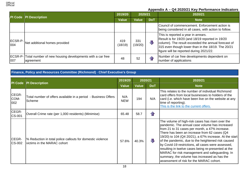| <b>PI Code   PI Description</b> |                                                                               | 2019/20        | 2020/21        | 2020/21           |                                                                                                                                                                                                                                                 |
|---------------------------------|-------------------------------------------------------------------------------|----------------|----------------|-------------------|-------------------------------------------------------------------------------------------------------------------------------------------------------------------------------------------------------------------------------------------------|
|                                 |                                                                               | <b>Value</b>   | <b>Value</b>   | <b>DoT</b>        | <b>Note</b>                                                                                                                                                                                                                                     |
|                                 |                                                                               |                |                |                   | Council of commencement. Enforcement action is<br>being considered in all cases, with action to follow.                                                                                                                                         |
| ECSR-P-<br>1004                 | Net additional homes provided                                                 | 419<br>(18/19) | 331<br>(19/20) | $\sqrt{ }$        | This is reported a year in arrears.<br>Result is for 19/20 (and 18/19 reported in 19/20<br>column). The result exceeded the annual forecast of<br>315 even though lower than in the 18/19. The 20/21<br>figure will be reported during 2021/22. |
| 007                             | ECSR-P- Total number of new housing developments with a car free<br>agreement | 48             | 52             | $\leftrightarrow$ | Number of car free developments dependent on<br>number of applications                                                                                                                                                                          |

#### **Finance, Policy and Resources Committee (Richmond)** - **Chief Executive's Group**

|                        | <b>PI Description</b>                                                                     | 2019/20           | 2020/21      |                   | 2020/21                                                                                                                                                                                                                                                                                                                                                                                                                                                                                                                                                                         |
|------------------------|-------------------------------------------------------------------------------------------|-------------------|--------------|-------------------|---------------------------------------------------------------------------------------------------------------------------------------------------------------------------------------------------------------------------------------------------------------------------------------------------------------------------------------------------------------------------------------------------------------------------------------------------------------------------------------------------------------------------------------------------------------------------------|
| PI Code                |                                                                                           | <b>Value</b>      | <b>Value</b> | <b>DoT</b>        | <b>Note</b>                                                                                                                                                                                                                                                                                                                                                                                                                                                                                                                                                                     |
| CEGR-<br>COM-<br>002   | Total number of offers available in a period - Business Offers<br>Scheme                  | N/A<br><b>NEW</b> | 194          | N/A               | This relates to the number of individual Richmond<br>card offers from local businesses to holders of the<br>card (i.e. which have been live on the website at any<br>time of reporting).<br>This is the link to the current offers.                                                                                                                                                                                                                                                                                                                                             |
| CEGR-<br><b>CS-001</b> | Overall Crime rate (per 1,000 residents) (Minimise)                                       | 65.48             | 58.7         | $\left\{ \right.$ |                                                                                                                                                                                                                                                                                                                                                                                                                                                                                                                                                                                 |
| CEGR-<br><b>CS-002</b> | % Reduction in total police callouts for domestic violence<br>victims in the MARAC cohort | 57.6%             | 40.3%        | JL                | The volume of high-risk cases has risen over the<br>pandemic. The annual case volume has increased<br>from 21 to 31 cases per month, a 47% increase.<br>There has been an increase from 62 cases (Q4<br>19/20) to 104 (Q4 20/21), a 67% increase. At the start<br>of the pandemic, due to the heightened risk caused<br>by Covid-19 restrictions, all cases were assessed,<br>resulting in twelve cases being re-presented at the<br>MARAC for risk management and safeguarding. In<br>summary, the volume has increased as has the<br>assessment of risk for the MARAC cohort. |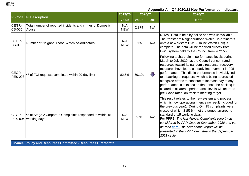

| <b>PI</b> Code          | <b>PI Description</b>                                                            | 2019/20           | 2020/21      |            | 2020/21                                                                                                                                                                                                                                                                                                                                                                                                                                                                                                                                                |
|-------------------------|----------------------------------------------------------------------------------|-------------------|--------------|------------|--------------------------------------------------------------------------------------------------------------------------------------------------------------------------------------------------------------------------------------------------------------------------------------------------------------------------------------------------------------------------------------------------------------------------------------------------------------------------------------------------------------------------------------------------------|
|                         |                                                                                  | <b>Value</b>      | <b>Value</b> | <b>DoT</b> | <b>Note</b>                                                                                                                                                                                                                                                                                                                                                                                                                                                                                                                                            |
| CEGR-<br><b>CS-005</b>  | Total number of reported incidents and crimes of Domestic<br>Abuse               | N/A<br><b>NEW</b> | 2,379        | N/A        |                                                                                                                                                                                                                                                                                                                                                                                                                                                                                                                                                        |
| CEGR-<br><b>CS-006</b>  | Number of Neighbourhood Watch co-ordinators                                      | N/A<br><b>NEW</b> | N/A          | N/A        | NHWC Data is held by police and was unavailable.<br>The transfer of Neighbourhood Watch Co-ordinators<br>onto a new system OWL (Online Watch Link) is<br>complete. The data will be reported directly from<br>OWL system held by the Council from 2021/22.                                                                                                                                                                                                                                                                                             |
| CEGR-<br><b>RES 003</b> | % of FOI requests completed within 20-day limit                                  | 82.5%             | 59.1%        | $\sqrt{1}$ | Following a sharp dip in performance levels during<br>March to July 2020, as the Council concentrated<br>resources toward its pandemic response, recovery<br>measures have led to a steady improvement in FOI<br>performance. This dip in performance inevitably led<br>to a backlog of requests, which is being addressed<br>alongside efforts to continue to increase day to day<br>performance. It is expected that, once the backlog is<br>cleared in all areas, performance levels will return to<br>pre-Covid rates, on track to meeting target. |
| <b>CEGR-</b>            | % of Stage 2 Corporate Complaints responded to within 15<br>RES-004 working days | N/A<br><b>NEW</b> | 53%          | N/A        | This result relates to the new system and process<br>which is now operational (hence no result included for<br>the previous year). During Q4, 15 complaints were<br>closed of which 8 (53%) met the target turnaround<br>standard of 15 working days.<br>For PPRB. The last Annual Complaints report was<br>considered by FPR Cttee in September 2020 and can<br>be read here. The next annual report will be<br>presented to the FPR Committee in the September<br>2021 cycle.                                                                        |

**Finance, Policy and Resources Committee** - **Resources Directorate**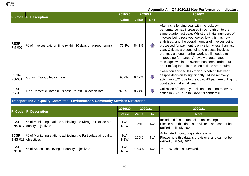| PI Code                       | <b>PI Description</b>                                       | 2019/20      | 2020/21      |                   | 2020/21                                                                                                                                                                                                                                                                                                                                                                                                                                                                                                                                                                                            |
|-------------------------------|-------------------------------------------------------------|--------------|--------------|-------------------|----------------------------------------------------------------------------------------------------------------------------------------------------------------------------------------------------------------------------------------------------------------------------------------------------------------------------------------------------------------------------------------------------------------------------------------------------------------------------------------------------------------------------------------------------------------------------------------------------|
|                               |                                                             | <b>Value</b> | <b>Value</b> | <b>DoT</b>        | <b>Note</b>                                                                                                                                                                                                                                                                                                                                                                                                                                                                                                                                                                                        |
| <b>RESR-</b><br><b>FM-001</b> | % of Invoices paid on time (within 30 days or agreed terms) | 77.4%        | 84.1%        | $\left\{ \right.$ | After a challenging year with the lockdown,<br>performance has increased in comparison to the<br>same quarter last year. Whilst the initial numbers of<br>invoices being received looked low, this has now<br>stabilised, and the overall number of invoices being<br>processed for payment is only slightly less than last<br>year. Officers are continuing to process invoices<br>promptly although further work is still needed to<br>improve performance. A review of automated<br>messages within the system has been carried out in<br>order to flag for officers when actions are required. |
| <b>RESR-</b><br><b>RS-001</b> | <b>Council Tax Collection rate</b>                          | 98.6%        | 97.7%        | JL                | Collection finished less than 1% behind last year,<br>despite decision to significantly reduce recovery<br>action in 20/21 due to the Covid-19 pandemic. E.g. no<br>court action taken all year.                                                                                                                                                                                                                                                                                                                                                                                                   |
| <b>RESR-</b><br><b>RS-002</b> | Non-Domestic Rates (Business Rates) Collection rate         | 97.35%       | 85.4%        | 具                 | Collection affected by decision to take no recovery<br>action in 20/21 due to Covid-19 pandemic.                                                                                                                                                                                                                                                                                                                                                                                                                                                                                                   |

# **Transport and Air Quality Committee** - **Environment & Community Services Directorate**

|                         | <b>PI Code PI Description</b>                                                                     | 2019/20           | 2020/21      |            | 2020/21                                                                                                                     |
|-------------------------|---------------------------------------------------------------------------------------------------|-------------------|--------------|------------|-----------------------------------------------------------------------------------------------------------------------------|
|                         |                                                                                                   | <b>Value</b>      | <b>Value</b> | <b>DoT</b> | <b>Note</b>                                                                                                                 |
| <b>IECSR-</b>           | 1% of Monitoring stations achieving the Nitrogen Dioxide air<br><b>ENS-017</b> quality objectives | N/A<br><b>NEW</b> | 36%          | N/A        | Includes diffusion tube sites (exceeding)<br>Please note this data is provisional and cannot be<br>ratified until July 2021 |
| <b>IECSR-</b>           | % of Monitoring stations achieving the Particulate air quality<br><b>ENS-018</b> objectives       | N/A<br><b>NEW</b> | 100%         | N/A        | Automated monitoring stations only.<br>Please note this data is provisional and cannot be<br>ratified until July 2021       |
| ECSR-<br><b>ENS-019</b> | % of Schools achieving air quality objectives                                                     | N/A<br><b>NEW</b> | 97.3%        | N/A        | 74 of 76 schools surveyed.                                                                                                  |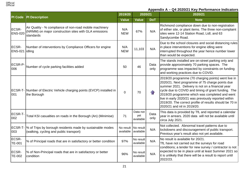

| <b>PI Code</b>          | <b>PI Description</b>                                                                                                         | 2019/20                | 2020/21                      |              | 2020/21                                                                                                                                                                                                                                                                                                                                                                                                               |
|-------------------------|-------------------------------------------------------------------------------------------------------------------------------|------------------------|------------------------------|--------------|-----------------------------------------------------------------------------------------------------------------------------------------------------------------------------------------------------------------------------------------------------------------------------------------------------------------------------------------------------------------------------------------------------------------------|
|                         |                                                                                                                               | <b>Value</b>           | <b>Value</b>                 | <b>DoT</b>   | <b>Note</b>                                                                                                                                                                                                                                                                                                                                                                                                           |
| ECSR-<br><b>ENS-020</b> | Air Quality - % compliance of non-road mobile machinery<br>(NRMM) on major construction sites with GLA emissions<br>standards | N/A<br><b>NEW</b>      | 67%                          | N/A          | Richmond compliance down due to non-registration<br>of either site, or plant items. The three non-complaint<br>sites were 12-14 Station Road, Lidl, and 63<br>Sandycombe Road.                                                                                                                                                                                                                                        |
| ECSR-<br><b>ENS-021</b> | Number of interventions by Compliance Officers for engine<br>idling                                                           | N/A<br><b>NEW</b>      | 11,103                       | N/A          | Due to the school closures and social distancing rules<br>in place interventions for engine idling were<br>interrupted throughout the year hence number lower<br>than would be expected.                                                                                                                                                                                                                              |
| ECSR-P-<br>006          | Number of cycle parking facilities added                                                                                      | 50                     | 46                           | Data<br>only | The stands installed are on-street parking only and<br>provide approximately 70 parking spaces. The<br>programme was impacted by constraints on funding<br>and working practices due to COVID.                                                                                                                                                                                                                        |
| 001                     | ECSR-T- Number of Electric Vehicle charging points (EVCP) installed in<br>the Borough                                         | $\mathbf 0$            | 70                           | $\bigcap$    | 2019/20 programme (70 charging points) went live in<br>2020/21. Next programme of 75 charge points due<br>summer 2021. Delivery is not on a financial year<br>cycle due to COVID and timing of grant funding. The<br>2019/20 programme which was completed and went<br>live in early 2020/21 was previously reported within<br>2019/20. The correct profile of results should be 70 in<br>2020/21 and nil in 2019/20. |
| ECSR-T-<br>002          | Total KSI casualties on roads in the Borough (An) (Minimise)                                                                  | 71                     | Data not<br>yet<br>available | Data<br>only | This data is provided by TfL and reported a calendar<br>year in arrears. 2020 data will not be available until<br>circa July 2021.                                                                                                                                                                                                                                                                                    |
| 003                     | ECSR-T-  % of Trips by borough residents made by sustainable modes<br>(walking, cycling and public transport)                 | No result<br>available | No result<br>available       | N/A          | Not collected. Abnormal travel patterns due to<br>lockdowns and discouragement of public transport.<br>Previous year's result also not yet available.                                                                                                                                                                                                                                                                 |
| ECSR-<br><b>TE-001</b>  | % of Principal roads that are in satisfactory or better condition                                                             | 97%                    | No result<br>available       | N/A          | No result is available for 20/21.<br>TfL have not carried out the surveys for road                                                                                                                                                                                                                                                                                                                                    |
| <b>ECSR-</b><br>TE-002  | % of Non-Principal roads that are in satisfactory or better<br>condition                                                      | 96%                    | No result<br>available       | N/A          | conditions; a tender for new survey / contractor is not<br>expected to be in place until at least Summer 2021 so<br>it is unlikely that there will be a result to report until<br>2022/23.                                                                                                                                                                                                                            |